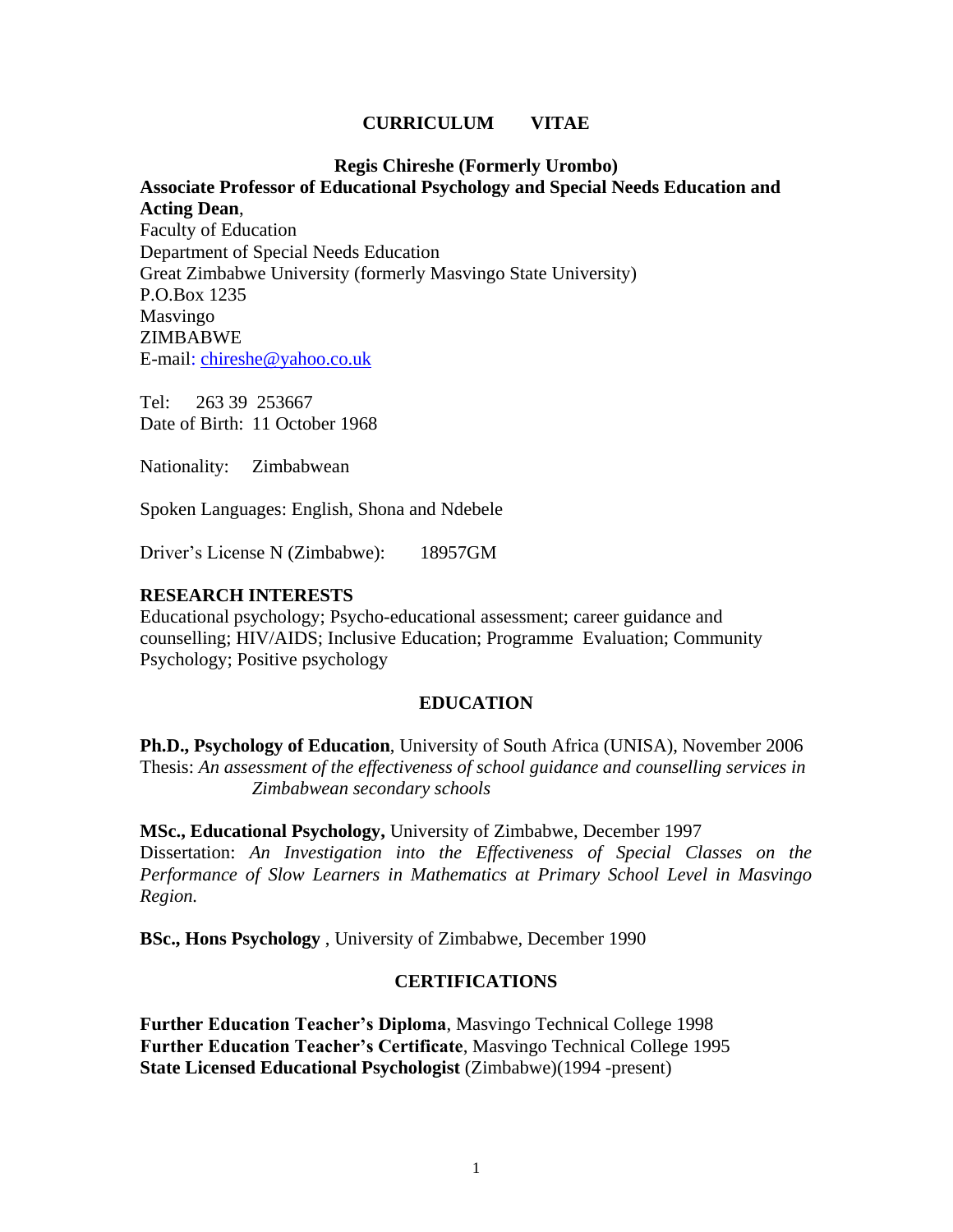### **CURRICULUM VITAE**

#### **Regis Chireshe (Formerly Urombo)**

# **Associate Professor of Educational Psychology and Special Needs Education and Acting Dean**,

Faculty of Education Department of Special Needs Education Great Zimbabwe University (formerly Masvingo State University) P.O.Box 1235 Masvingo ZIMBABWE E-mail: [chireshe@yahoo.co.uk](mailto:chireshe@yahoo.co.uk)

Tel: 263 39 253667 Date of Birth: 11 October 1968

Nationality: Zimbabwean

Spoken Languages: English, Shona and Ndebele

Driver's License N (Zimbabwe): 18957GM

#### **RESEARCH INTERESTS**

Educational psychology; Psycho-educational assessment; career guidance and counselling; HIV/AIDS; Inclusive Education; Programme Evaluation; Community Psychology; Positive psychology

#### **EDUCATION**

**Ph.D., Psychology of Education**, University of South Africa (UNISA), November 2006 Thesis: *An assessment of the effectiveness of school guidance and counselling services in Zimbabwean secondary schools*

**MSc., Educational Psychology,** University of Zimbabwe, December 1997 Dissertation: *An Investigation into the Effectiveness of Special Classes on the Performance of Slow Learners in Mathematics at Primary School Level in Masvingo Region.*

**BSc., Hons Psychology** , University of Zimbabwe, December 1990

#### **CERTIFICATIONS**

**Further Education Teacher's Diploma**, Masvingo Technical College 1998 **Further Education Teacher's Certificate**, Masvingo Technical College 1995 **State Licensed Educational Psychologist** (Zimbabwe)(1994 -present)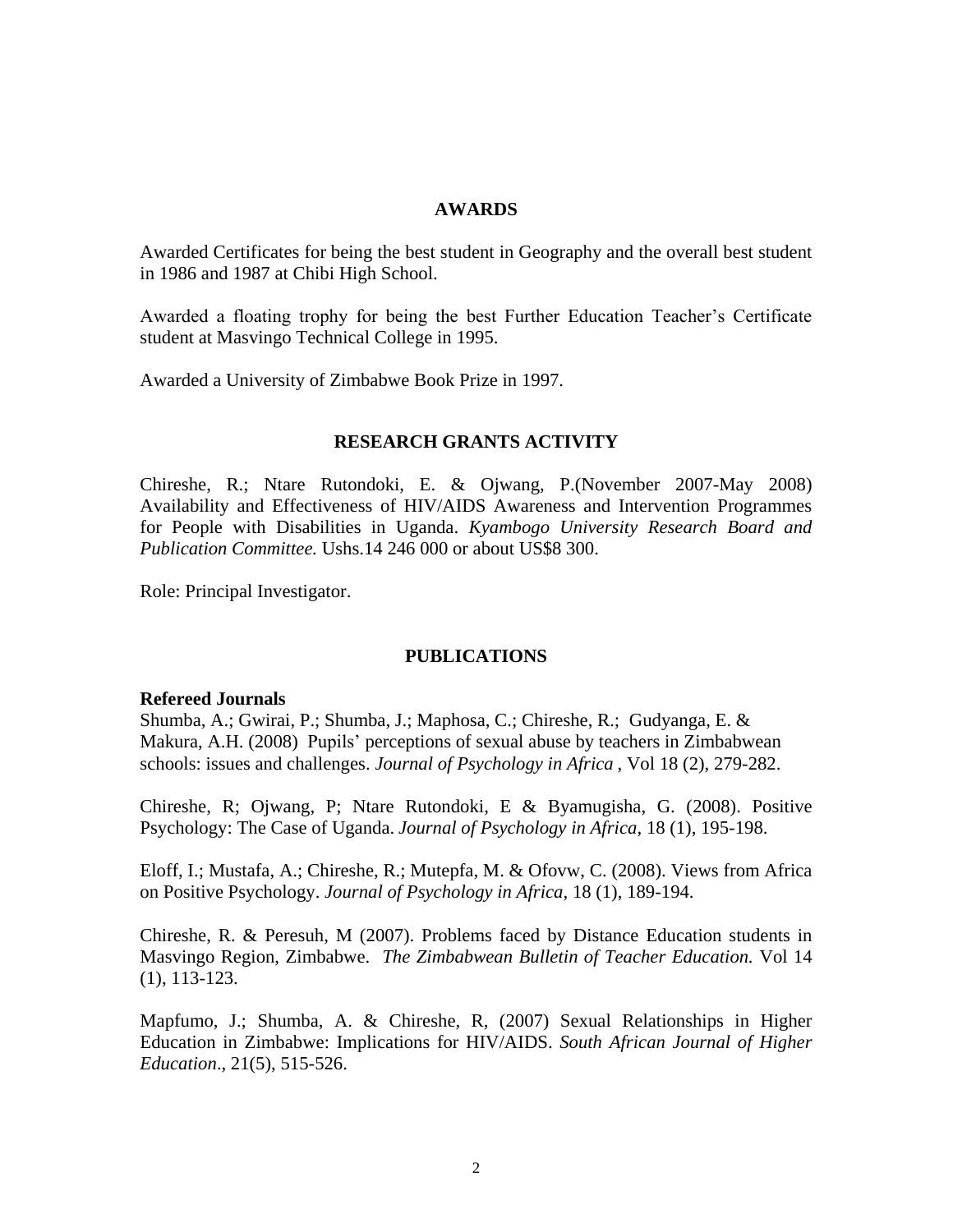#### **AWARDS**

Awarded Certificates for being the best student in Geography and the overall best student in 1986 and 1987 at Chibi High School.

Awarded a floating trophy for being the best Further Education Teacher's Certificate student at Masvingo Technical College in 1995.

Awarded a University of Zimbabwe Book Prize in 1997.

## **RESEARCH GRANTS ACTIVITY**

Chireshe, R.; Ntare Rutondoki, E. & Ojwang, P.(November 2007-May 2008) Availability and Effectiveness of HIV/AIDS Awareness and Intervention Programmes for People with Disabilities in Uganda. *Kyambogo University Research Board and Publication Committee.* Ushs.14 246 000 or about US\$8 300.

Role: Principal Investigator.

## **PUBLICATIONS**

#### **Refereed Journals**

Shumba, A.; Gwirai, P.; Shumba, J.; Maphosa, C.; Chireshe, R.; Gudyanga, E. & Makura, A.H. (2008) Pupils' perceptions of sexual abuse by teachers in Zimbabwean schools: issues and challenges. *Journal of Psychology in Africa* , Vol 18 (2), 279-282.

Chireshe, R; Ojwang, P; Ntare Rutondoki, E & Byamugisha, G. (2008). Positive Psychology: The Case of Uganda. *Journal of Psychology in Africa,* 18 (1), 195-198.

Eloff, I.; Mustafa, A.; Chireshe, R.; Mutepfa, M. & Ofovw, C. (2008). Views from Africa on Positive Psychology. *Journal of Psychology in Africa,* 18 (1), 189-194.

Chireshe, R. & Peresuh, M (2007). Problems faced by Distance Education students in Masvingo Region, Zimbabwe. *The Zimbabwean Bulletin of Teacher Education.* Vol 14 (1), 113-123.

Mapfumo, J.; Shumba, A. & Chireshe, R, (2007) Sexual Relationships in Higher Education in Zimbabwe: Implications for HIV/AIDS. *South African Journal of Higher Education*., 21(5), 515-526.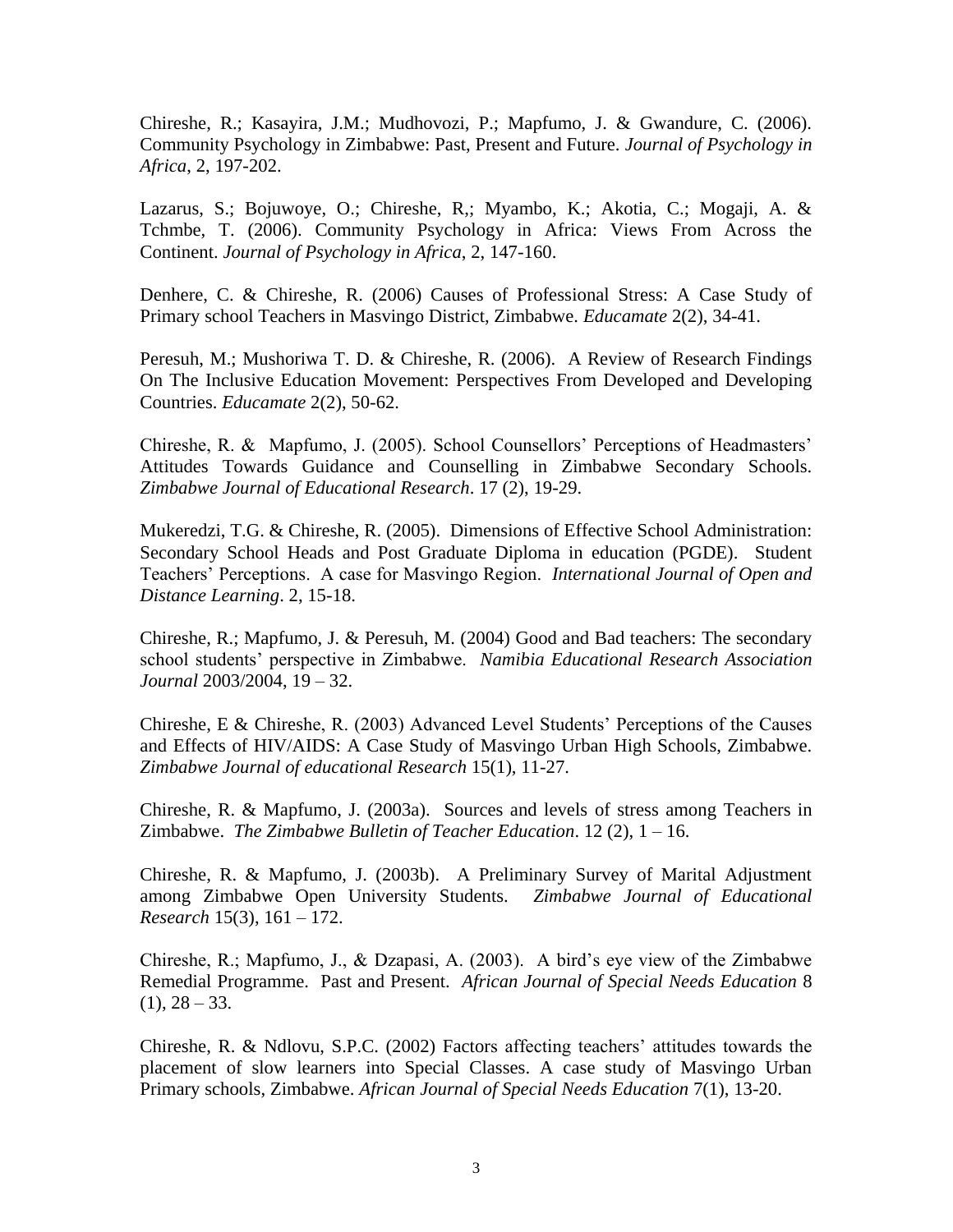Chireshe, R.; Kasayira, J.M.; Mudhovozi, P.; Mapfumo, J. & Gwandure, C. (2006). Community Psychology in Zimbabwe: Past, Present and Future. *Journal of Psychology in Africa*, 2, 197-202.

Lazarus, S.; Bojuwoye, O.; Chireshe, R,; Myambo, K.; Akotia, C.; Mogaji, A. & Tchmbe, T. (2006). Community Psychology in Africa: Views From Across the Continent. *Journal of Psychology in Africa*, 2, 147-160.

Denhere, C. & Chireshe, R. (2006) Causes of Professional Stress: A Case Study of Primary school Teachers in Masvingo District, Zimbabwe. *Educamate* 2(2), 34-41.

Peresuh, M.; Mushoriwa T. D. & Chireshe, R. (2006). A Review of Research Findings On The Inclusive Education Movement: Perspectives From Developed and Developing Countries. *Educamate* 2(2), 50-62.

Chireshe, R. & Mapfumo, J. (2005). School Counsellors' Perceptions of Headmasters' Attitudes Towards Guidance and Counselling in Zimbabwe Secondary Schools. *Zimbabwe Journal of Educational Research*. 17 (2), 19-29.

Mukeredzi, T.G. & Chireshe, R. (2005). Dimensions of Effective School Administration: Secondary School Heads and Post Graduate Diploma in education (PGDE). Student Teachers' Perceptions. A case for Masvingo Region. *International Journal of Open and Distance Learning*. 2, 15-18.

Chireshe, R.; Mapfumo, J. & Peresuh, M. (2004) Good and Bad teachers: The secondary school students' perspective in Zimbabwe. *Namibia Educational Research Association Journal* 2003/2004, 19 – 32.

Chireshe, E & Chireshe, R. (2003) Advanced Level Students' Perceptions of the Causes and Effects of HIV/AIDS: A Case Study of Masvingo Urban High Schools, Zimbabwe. *Zimbabwe Journal of educational Research* 15(1), 11-27.

Chireshe, R. & Mapfumo, J. (2003a). Sources and levels of stress among Teachers in Zimbabwe. *The Zimbabwe Bulletin of Teacher Education*. 12 (2), 1 – 16.

Chireshe, R. & Mapfumo, J. (2003b). A Preliminary Survey of Marital Adjustment among Zimbabwe Open University Students. *Zimbabwe Journal of Educational Research* 15(3), 161 – 172.

Chireshe, R.; Mapfumo, J., & Dzapasi, A. (2003). A bird's eye view of the Zimbabwe Remedial Programme. Past and Present. *African Journal of Special Needs Education* 8  $(1), 28 - 33.$ 

Chireshe, R. & Ndlovu, S.P.C. (2002) Factors affecting teachers' attitudes towards the placement of slow learners into Special Classes. A case study of Masvingo Urban Primary schools, Zimbabwe. *African Journal of Special Needs Education* 7(1), 13-20.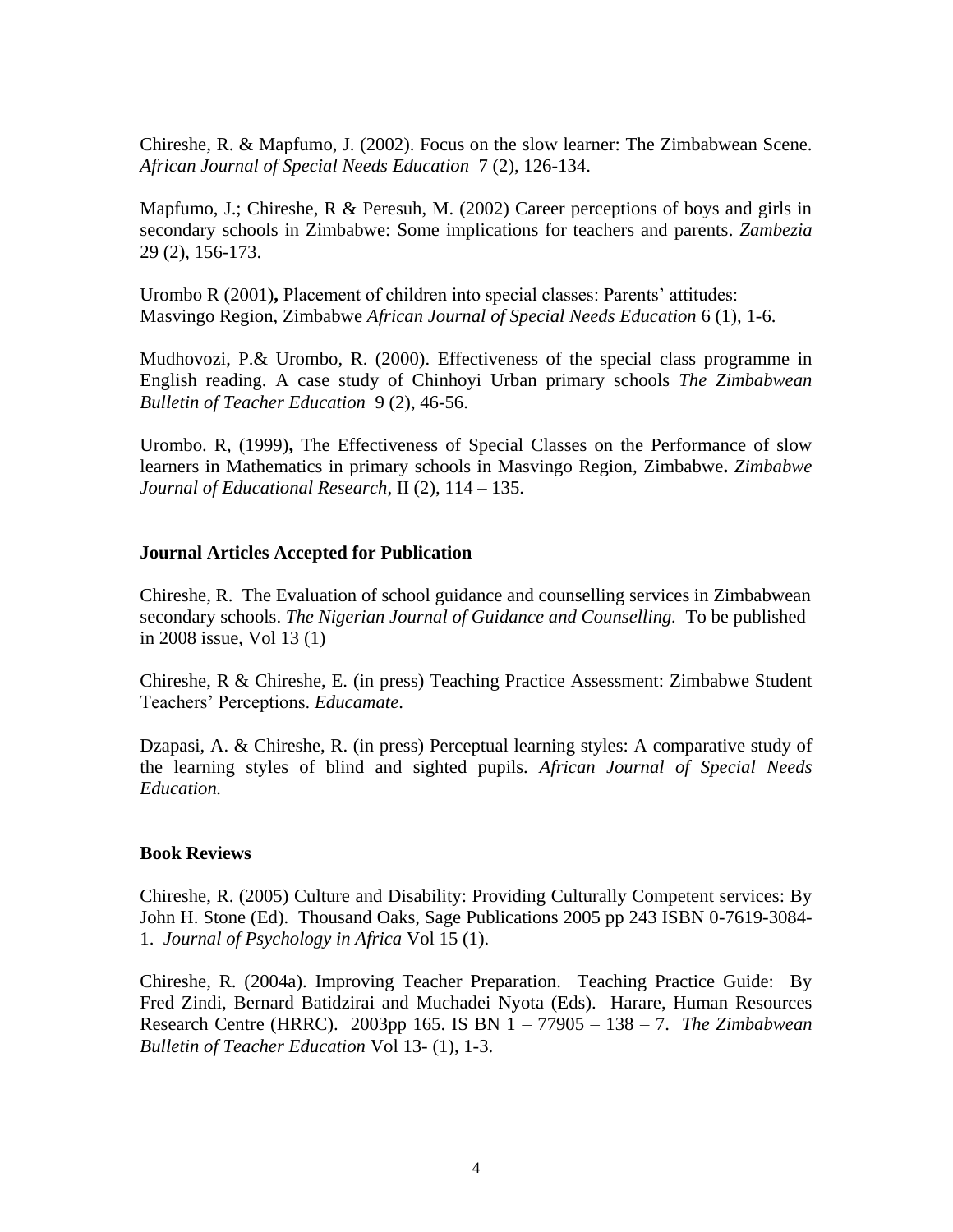Chireshe, R. & Mapfumo, J. (2002). Focus on the slow learner: The Zimbabwean Scene. *African Journal of Special Needs Education* 7 (2), 126-134.

Mapfumo, J.; Chireshe, R & Peresuh, M. (2002) Career perceptions of boys and girls in secondary schools in Zimbabwe: Some implications for teachers and parents. *Zambezia* 29 (2), 156-173.

Urombo R (2001)**,** Placement of children into special classes: Parents' attitudes: Masvingo Region, Zimbabwe *African Journal of Special Needs Education* 6 (1), 1-6.

Mudhovozi, P.& Urombo, R. (2000). Effectiveness of the special class programme in English reading. A case study of Chinhoyi Urban primary schools *The Zimbabwean Bulletin of Teacher Education* 9 (2), 46-56.

Urombo. R, (1999)**,** The Effectiveness of Special Classes on the Performance of slow learners in Mathematics in primary schools in Masvingo Region, Zimbabwe**.** *Zimbabwe Journal of Educational Research*, II (2), 114 – 135.

## **Journal Articles Accepted for Publication**

Chireshe, R. The Evaluation of school guidance and counselling services in Zimbabwean secondary schools. *The Nigerian Journal of Guidance and Counselling.* To be published in 2008 issue, Vol 13 (1)

Chireshe, R & Chireshe, E. (in press) Teaching Practice Assessment: Zimbabwe Student Teachers' Perceptions. *Educamate*.

Dzapasi, A. & Chireshe, R. (in press) Perceptual learning styles: A comparative study of the learning styles of blind and sighted pupils. *African Journal of Special Needs Education.*

## **Book Reviews**

Chireshe, R. (2005) Culture and Disability: Providing Culturally Competent services: By John H. Stone (Ed). Thousand Oaks, Sage Publications 2005 pp 243 ISBN 0-7619-3084- 1. *Journal of Psychology in Africa* Vol 15 (1).

Chireshe, R. (2004a). Improving Teacher Preparation. Teaching Practice Guide: By Fred Zindi, Bernard Batidzirai and Muchadei Nyota (Eds). Harare, Human Resources Research Centre (HRRC). 2003pp 165. IS BN 1 – 77905 – 138 – 7. *The Zimbabwean Bulletin of Teacher Education* Vol 13- (1), 1-3.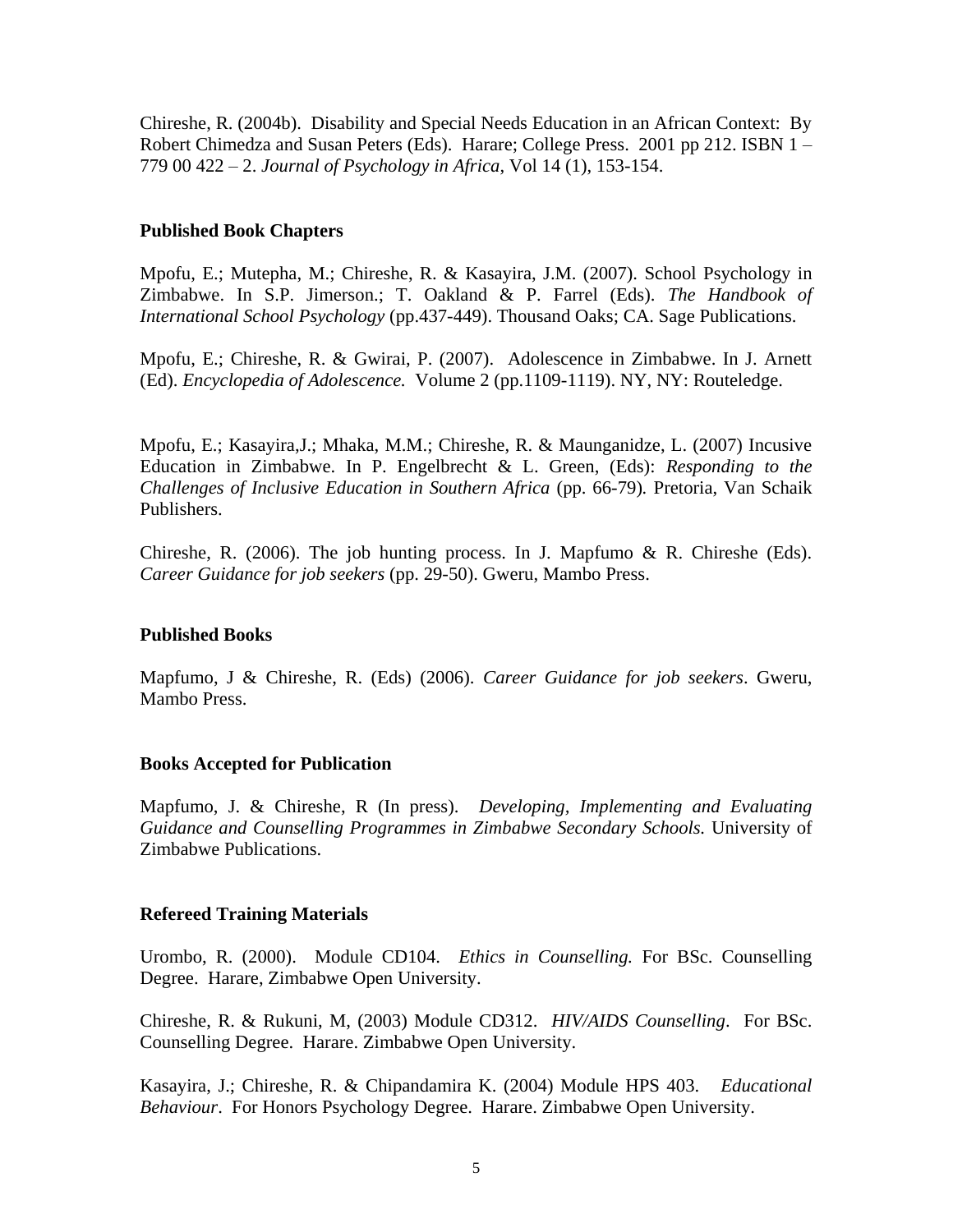Chireshe, R. (2004b). Disability and Special Needs Education in an African Context: By Robert Chimedza and Susan Peters (Eds). Harare; College Press. 2001 pp 212. ISBN 1 – 779 00 422 – 2. *Journal of Psychology in Africa*, Vol 14 (1), 153-154.

## **Published Book Chapters**

Mpofu, E.; Mutepha, M.; Chireshe, R. & Kasayira, J.M. (2007). School Psychology in Zimbabwe. In S.P. Jimerson.; T. Oakland & P. Farrel (Eds). *The Handbook of International School Psychology* (pp.437-449). Thousand Oaks; CA. Sage Publications.

Mpofu, E.; Chireshe, R. & Gwirai, P. (2007). Adolescence in Zimbabwe. In J. Arnett (Ed). *Encyclopedia of Adolescence.* Volume 2 (pp.1109-1119). NY, NY: Routeledge.

Mpofu, E.; Kasayira,J.; Mhaka, M.M.; Chireshe, R. & Maunganidze, L. (2007) Incusive Education in Zimbabwe. In P. Engelbrecht & L. Green, (Eds): *Responding to the Challenges of Inclusive Education in Southern Africa* (pp. 66-79)*.* Pretoria, Van Schaik Publishers.

Chireshe, R. (2006). The job hunting process. In J. Mapfumo  $\& R$ . Chireshe (Eds). *Career Guidance for job seekers* (pp. 29-50). Gweru, Mambo Press.

# **Published Books**

Mapfumo, J & Chireshe, R. (Eds) (2006). *Career Guidance for job seekers*. Gweru, Mambo Press.

## **Books Accepted for Publication**

Mapfumo, J. & Chireshe, R (In press). *Developing, Implementing and Evaluating Guidance and Counselling Programmes in Zimbabwe Secondary Schools.* University of Zimbabwe Publications.

## **Refereed Training Materials**

Urombo, R. (2000). Module CD104. *Ethics in Counselling.* For BSc. Counselling Degree. Harare, Zimbabwe Open University.

Chireshe, R. & Rukuni, M, (2003) Module CD312. *HIV/AIDS Counselling*. For BSc. Counselling Degree. Harare. Zimbabwe Open University.

Kasayira, J.; Chireshe, R. & Chipandamira K. (2004) Module HPS 403. *Educational Behaviour*. For Honors Psychology Degree. Harare. Zimbabwe Open University.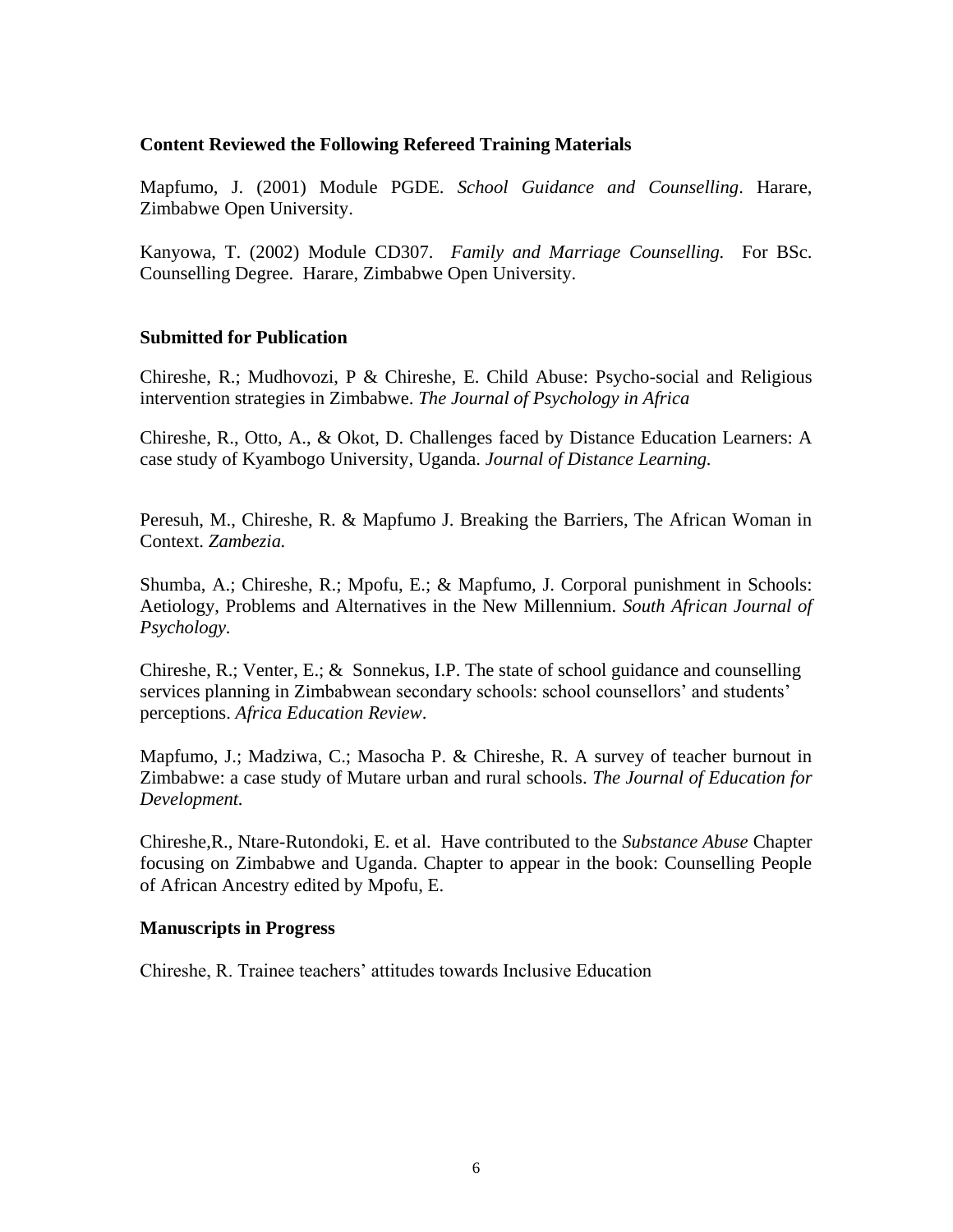## **Content Reviewed the Following Refereed Training Materials**

Mapfumo, J. (2001) Module PGDE. *School Guidance and Counselling*. Harare, Zimbabwe Open University.

Kanyowa, T. (2002) Module CD307. *Family and Marriage Counselling.* For BSc. Counselling Degree. Harare, Zimbabwe Open University.

## **Submitted for Publication**

Chireshe, R.; Mudhovozi, P & Chireshe, E. Child Abuse: Psycho-social and Religious intervention strategies in Zimbabwe. *The Journal of Psychology in Africa*

Chireshe, R., Otto, A., & Okot, D. Challenges faced by Distance Education Learners: A case study of Kyambogo University, Uganda. *Journal of Distance Learning.*

Peresuh, M., Chireshe, R. & Mapfumo J. Breaking the Barriers, The African Woman in Context. *Zambezia.*

Shumba, A.; Chireshe, R.; Mpofu, E.; & Mapfumo, J. Corporal punishment in Schools: Aetiology, Problems and Alternatives in the New Millennium. *South African Journal of Psychology.*

Chireshe, R.; Venter, E.; & Sonnekus, I.P. The state of school guidance and counselling services planning in Zimbabwean secondary schools: school counsellors' and students' perceptions. *Africa Education Review*.

Mapfumo, J.; Madziwa, C.; Masocha P. & Chireshe, R. A survey of teacher burnout in Zimbabwe: a case study of Mutare urban and rural schools. *The Journal of Education for Development.*

Chireshe,R., Ntare-Rutondoki, E. et al. Have contributed to the *Substance Abuse* Chapter focusing on Zimbabwe and Uganda. Chapter to appear in the book: Counselling People of African Ancestry edited by Mpofu, E.

#### **Manuscripts in Progress**

Chireshe, R. Trainee teachers' attitudes towards Inclusive Education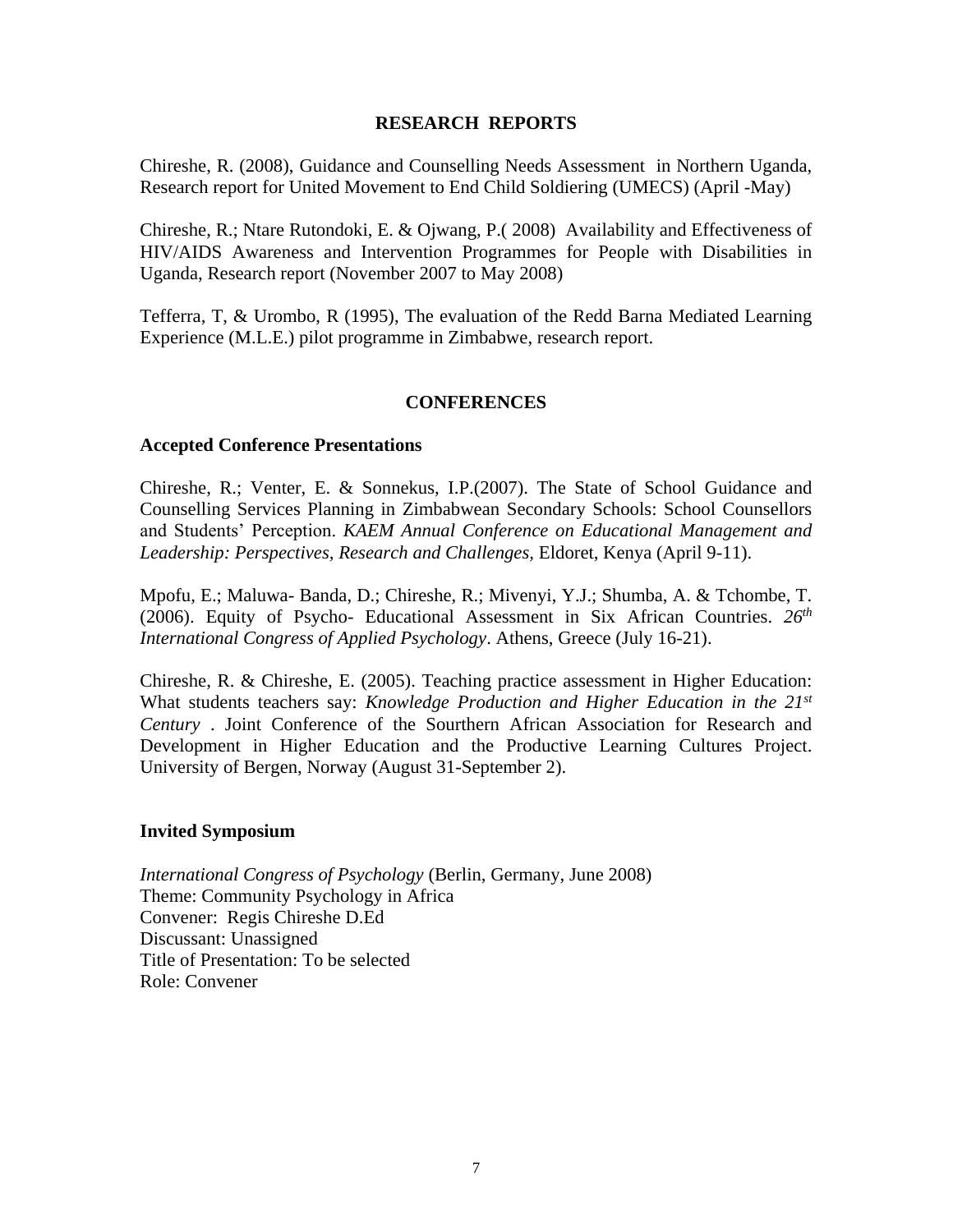## **RESEARCH REPORTS**

Chireshe, R. (2008), Guidance and Counselling Needs Assessment in Northern Uganda, Research report for United Movement to End Child Soldiering (UMECS) (April -May)

Chireshe, R.; Ntare Rutondoki, E. & Ojwang, P.( 2008) Availability and Effectiveness of HIV/AIDS Awareness and Intervention Programmes for People with Disabilities in Uganda, Research report (November 2007 to May 2008)

Tefferra, T, & Urombo, R (1995), The evaluation of the Redd Barna Mediated Learning Experience (M.L.E.) pilot programme in Zimbabwe, research report.

## **CONFERENCES**

### **Accepted Conference Presentations**

Chireshe, R.; Venter, E. & Sonnekus, I.P.(2007). The State of School Guidance and Counselling Services Planning in Zimbabwean Secondary Schools: School Counsellors and Students' Perception. *KAEM Annual Conference on Educational Management and Leadership: Perspectives, Research and Challenges,* Eldoret, Kenya (April 9-11).

Mpofu, E.; Maluwa- Banda, D.; Chireshe, R.; Mivenyi, Y.J.; Shumba, A. & Tchombe, T. (2006). Equity of Psycho- Educational Assessment in Six African Countries. *26th International Congress of Applied Psychology*. Athens, Greece (July 16-21).

Chireshe, R. & Chireshe, E. (2005). Teaching practice assessment in Higher Education: What students teachers say: *Knowledge Production and Higher Education in the 21st Century* . Joint Conference of the Sourthern African Association for Research and Development in Higher Education and the Productive Learning Cultures Project. University of Bergen, Norway (August 31-September 2).

#### **Invited Symposium**

*International Congress of Psychology* (Berlin, Germany, June 2008) Theme: Community Psychology in Africa Convener: Regis Chireshe D.Ed Discussant: Unassigned Title of Presentation: To be selected Role: Convener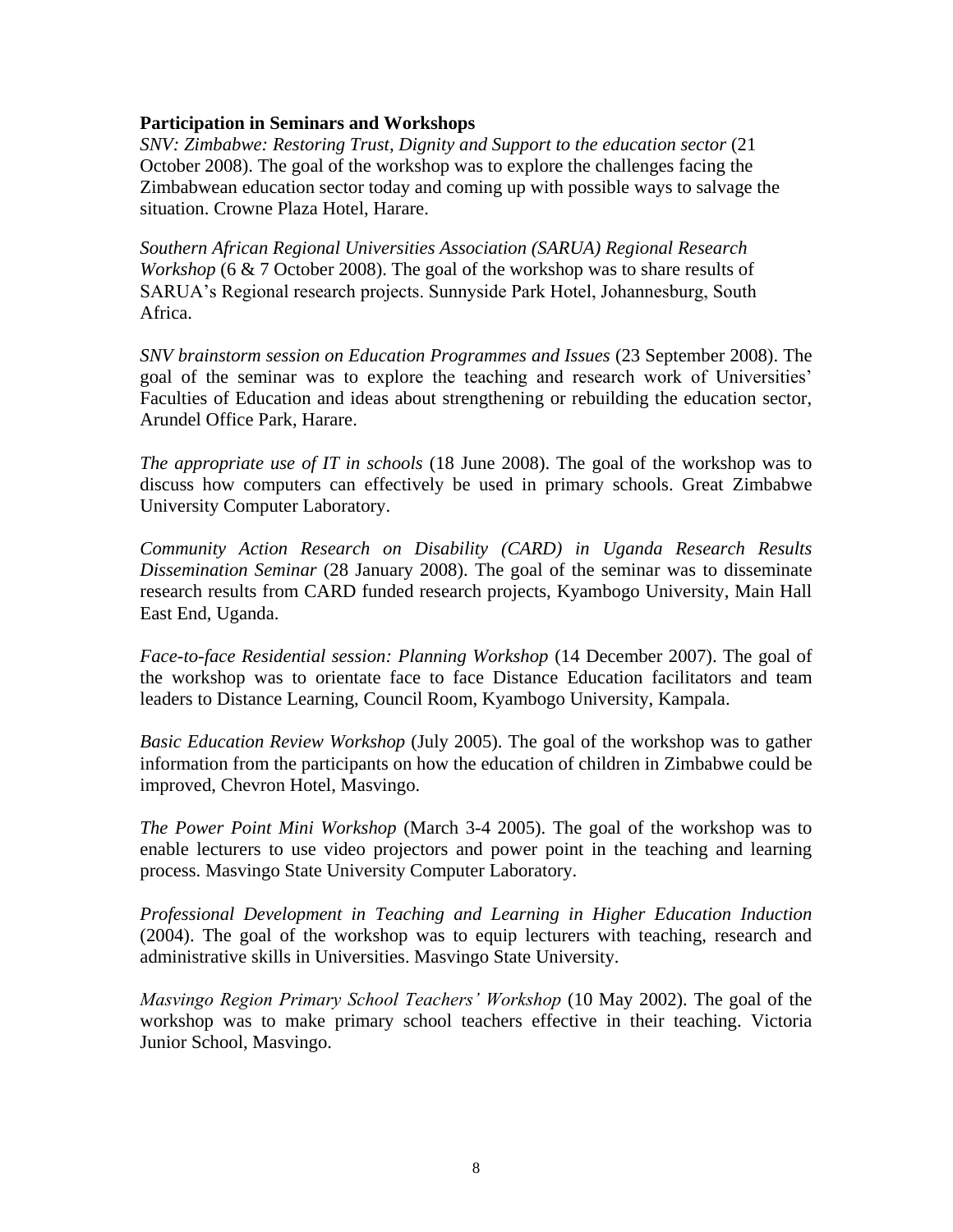### **Participation in Seminars and Workshops**

*SNV: Zimbabwe: Restoring Trust, Dignity and Support to the education sector* (21 October 2008). The goal of the workshop was to explore the challenges facing the Zimbabwean education sector today and coming up with possible ways to salvage the situation. Crowne Plaza Hotel, Harare.

*Southern African Regional Universities Association (SARUA) Regional Research Workshop* (6 & 7 October 2008). The goal of the workshop was to share results of SARUA's Regional research projects. Sunnyside Park Hotel, Johannesburg, South Africa.

*SNV brainstorm session on Education Programmes and Issues* (23 September 2008). The goal of the seminar was to explore the teaching and research work of Universities' Faculties of Education and ideas about strengthening or rebuilding the education sector, Arundel Office Park, Harare.

*The appropriate use of IT in schools* (18 June 2008). The goal of the workshop was to discuss how computers can effectively be used in primary schools. Great Zimbabwe University Computer Laboratory.

*Community Action Research on Disability (CARD) in Uganda Research Results Dissemination Seminar* (28 January 2008). The goal of the seminar was to disseminate research results from CARD funded research projects, Kyambogo University, Main Hall East End, Uganda.

*Face-to-face Residential session: Planning Workshop* (14 December 2007). The goal of the workshop was to orientate face to face Distance Education facilitators and team leaders to Distance Learning, Council Room, Kyambogo University, Kampala.

*Basic Education Review Workshop* (July 2005). The goal of the workshop was to gather information from the participants on how the education of children in Zimbabwe could be improved, Chevron Hotel, Masvingo.

*The Power Point Mini Workshop* (March 3-4 2005). The goal of the workshop was to enable lecturers to use video projectors and power point in the teaching and learning process. Masvingo State University Computer Laboratory.

*Professional Development in Teaching and Learning in Higher Education Induction* (2004). The goal of the workshop was to equip lecturers with teaching, research and administrative skills in Universities. Masvingo State University.

*Masvingo Region Primary School Teachers' Workshop* (10 May 2002). The goal of the workshop was to make primary school teachers effective in their teaching. Victoria Junior School, Masvingo.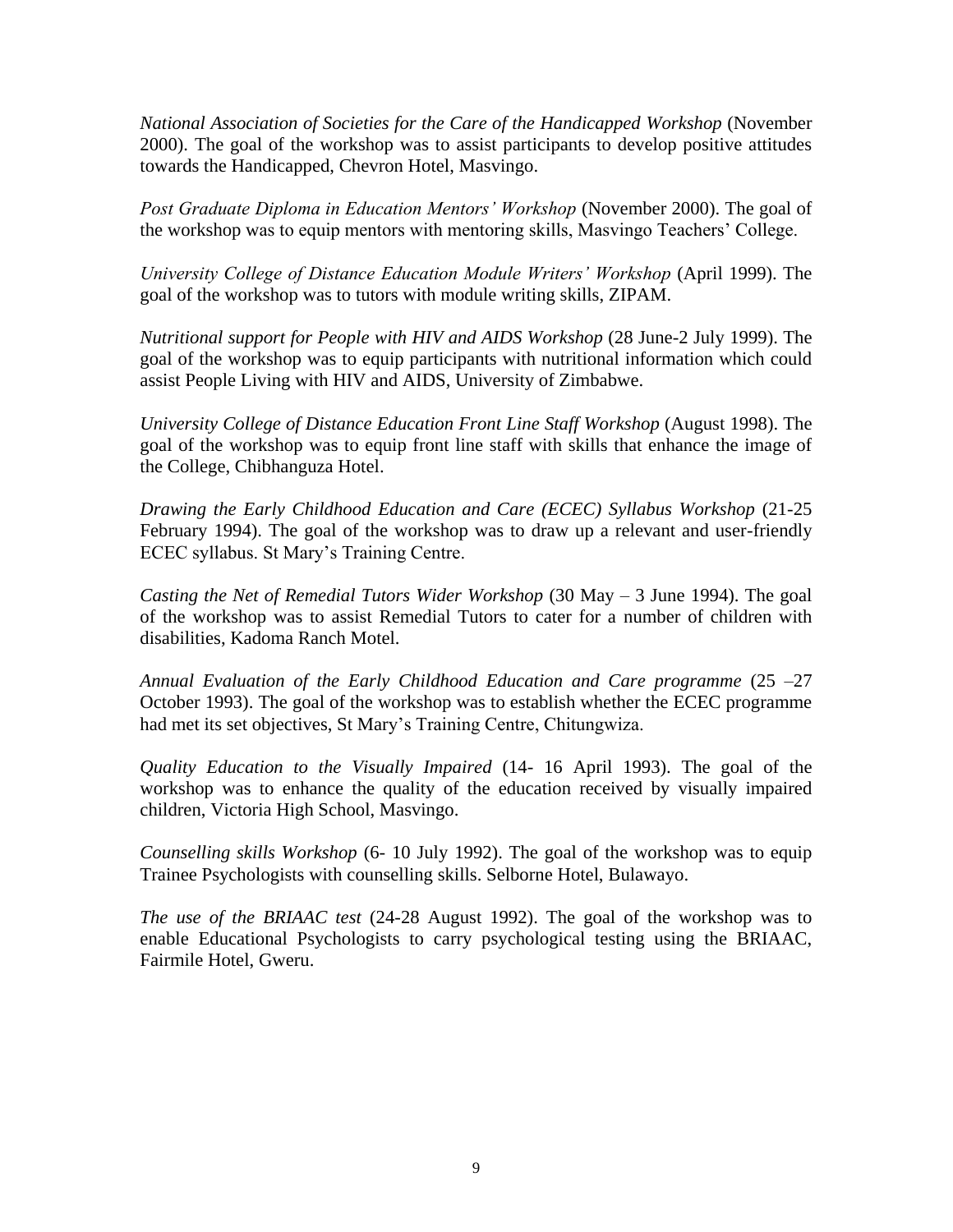*National Association of Societies for the Care of the Handicapped Workshop* (November 2000). The goal of the workshop was to assist participants to develop positive attitudes towards the Handicapped, Chevron Hotel, Masvingo.

*Post Graduate Diploma in Education Mentors' Workshop* (November 2000). The goal of the workshop was to equip mentors with mentoring skills, Masvingo Teachers' College.

*University College of Distance Education Module Writers' Workshop* (April 1999). The goal of the workshop was to tutors with module writing skills, ZIPAM.

*Nutritional support for People with HIV and AIDS Workshop* (28 June-2 July 1999). The goal of the workshop was to equip participants with nutritional information which could assist People Living with HIV and AIDS, University of Zimbabwe.

*University College of Distance Education Front Line Staff Workshop* (August 1998). The goal of the workshop was to equip front line staff with skills that enhance the image of the College, Chibhanguza Hotel.

*Drawing the Early Childhood Education and Care (ECEC) Syllabus Workshop* (21-25 February 1994). The goal of the workshop was to draw up a relevant and user-friendly ECEC syllabus. St Mary's Training Centre.

*Casting the Net of Remedial Tutors Wider Workshop* (30 May – 3 June 1994). The goal of the workshop was to assist Remedial Tutors to cater for a number of children with disabilities, Kadoma Ranch Motel.

*Annual Evaluation of the Early Childhood Education and Care programme* (25 –27 October 1993). The goal of the workshop was to establish whether the ECEC programme had met its set objectives, St Mary's Training Centre, Chitungwiza.

*Quality Education to the Visually Impaired* (14- 16 April 1993). The goal of the workshop was to enhance the quality of the education received by visually impaired children, Victoria High School, Masvingo.

*Counselling skills Workshop* (6- 10 July 1992). The goal of the workshop was to equip Trainee Psychologists with counselling skills. Selborne Hotel, Bulawayo.

*The use of the BRIAAC test* (24-28 August 1992). The goal of the workshop was to enable Educational Psychologists to carry psychological testing using the BRIAAC, Fairmile Hotel, Gweru.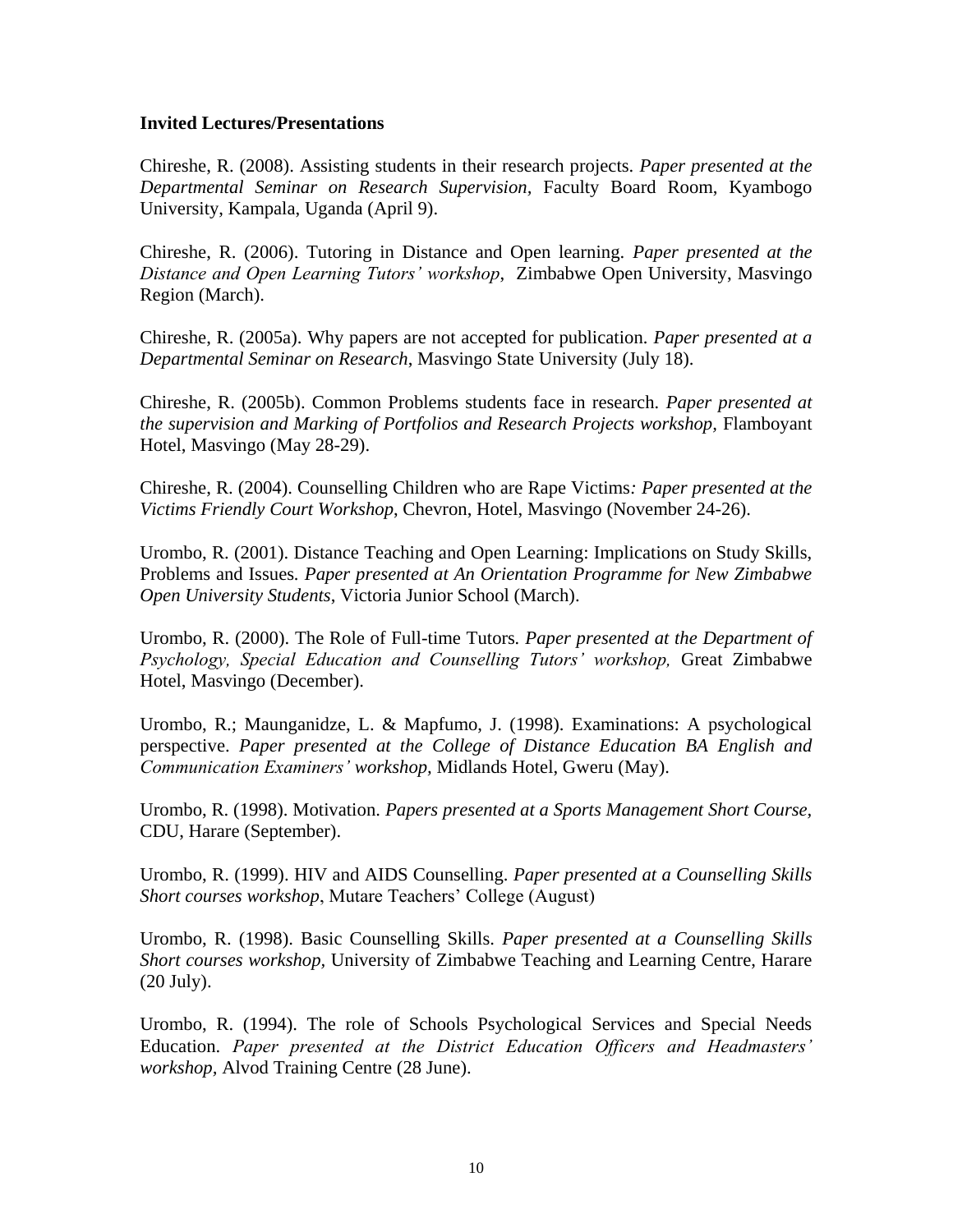### **Invited Lectures/Presentations**

Chireshe, R. (2008). Assisting students in their research projects. *Paper presented at the Departmental Seminar on Research Supervision,* Faculty Board Room, Kyambogo University, Kampala, Uganda (April 9).

Chireshe, R. (2006). Tutoring in Distance and Open learning. *Paper presented at the Distance and Open Learning Tutors' workshop*, Zimbabwe Open University, Masvingo Region (March).

Chireshe, R. (2005a). Why papers are not accepted for publication*. Paper presented at a Departmental Seminar on Research*, Masvingo State University (July 18).

Chireshe, R. (2005b). Common Problems students face in research*. Paper presented at the supervision and Marking of Portfolios and Research Projects workshop,* Flamboyant Hotel, Masvingo (May 28-29).

Chireshe, R. (2004). Counselling Children who are Rape Victims*: Paper presented at the Victims Friendly Court Workshop*, Chevron, Hotel, Masvingo (November 24-26).

Urombo, R. (2001). Distance Teaching and Open Learning: Implications on Study Skills, Problems and Issues*. Paper presented at An Orientation Programme for New Zimbabwe Open University Students*, Victoria Junior School (March).

Urombo, R. (2000). The Role of Full-time Tutors*. Paper presented at the Department of Psychology, Special Education and Counselling Tutors' workshop,* Great Zimbabwe Hotel, Masvingo (December).

Urombo, R.; Maunganidze, L. & Mapfumo, J. (1998). Examinations: A psychological perspective. *Paper presented at the College of Distance Education BA English and Communication Examiners' workshop,* Midlands Hotel, Gweru (May).

Urombo, R. (1998). Motivation. *Papers presented at a Sports Management Short Course,* CDU, Harare (September).

Urombo, R. (1999). HIV and AIDS Counselling. *Paper presented at a Counselling Skills Short courses workshop*, Mutare Teachers' College (August)

Urombo, R. (1998). Basic Counselling Skills. *Paper presented at a Counselling Skills Short courses workshop,* University of Zimbabwe Teaching and Learning Centre, Harare (20 July).

Urombo, R. (1994). The role of Schools Psychological Services and Special Needs Education. *Paper presented at the District Education Officers and Headmasters' workshop,* Alvod Training Centre (28 June).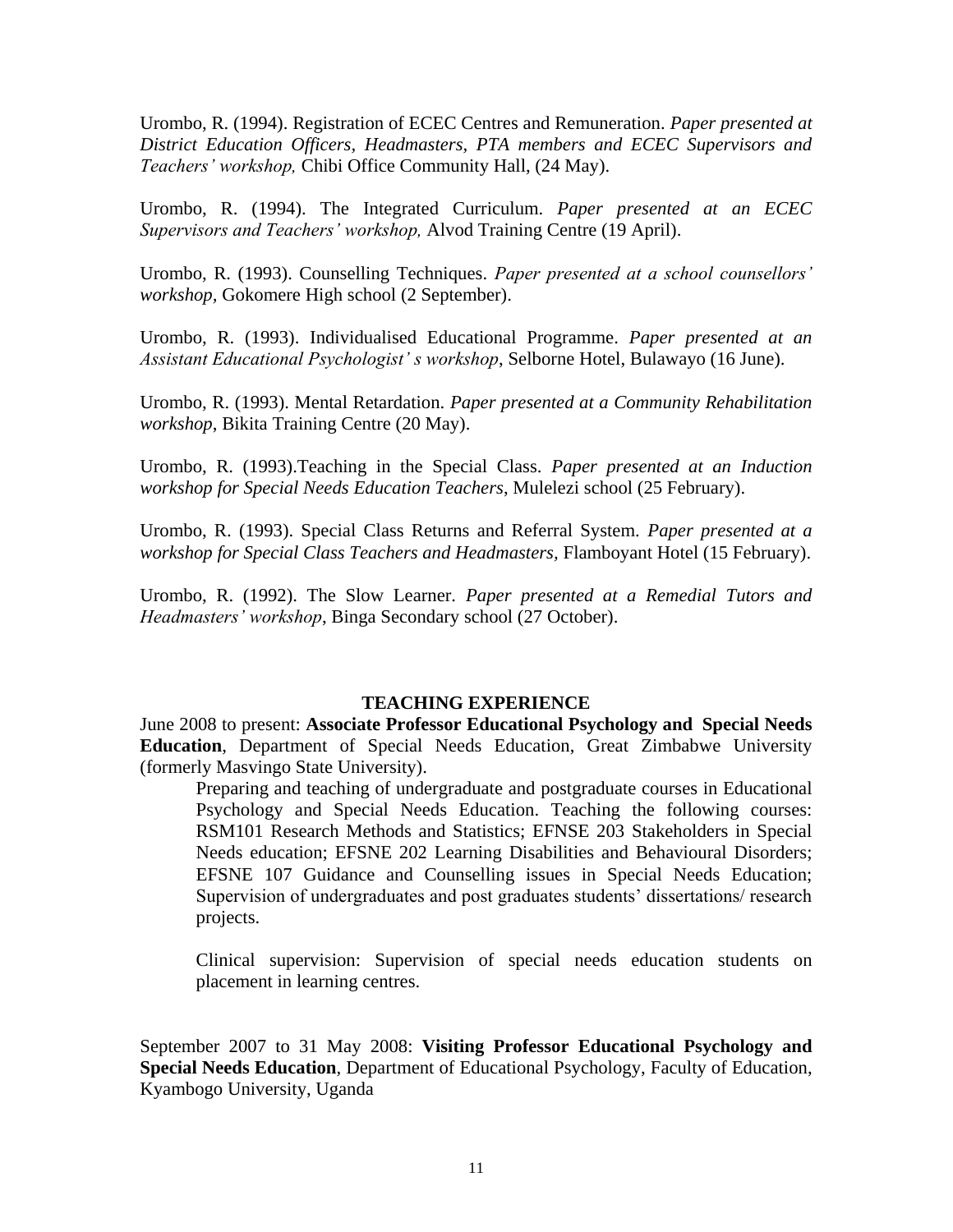Urombo, R. (1994). Registration of ECEC Centres and Remuneration. *Paper presented at District Education Officers, Headmasters, PTA members and ECEC Supervisors and Teachers' workshop,* Chibi Office Community Hall, (24 May).

Urombo, R. (1994). The Integrated Curriculum. *Paper presented at an ECEC Supervisors and Teachers' workshop,* Alvod Training Centre (19 April).

Urombo, R. (1993). Counselling Techniques. *Paper presented at a school counsellors' workshop,* Gokomere High school (2 September).

Urombo, R. (1993). Individualised Educational Programme. *Paper presented at an Assistant Educational Psychologist' s workshop*, Selborne Hotel, Bulawayo (16 June).

Urombo, R. (1993). Mental Retardation. *Paper presented at a Community Rehabilitation workshop*, Bikita Training Centre (20 May).

Urombo, R. (1993).Teaching in the Special Class. *Paper presented at an Induction workshop for Special Needs Education Teachers*, Mulelezi school (25 February).

Urombo, R. (1993). Special Class Returns and Referral System. *Paper presented at a workshop for Special Class Teachers and Headmasters,* Flamboyant Hotel (15 February).

Urombo, R. (1992). The Slow Learner. *Paper presented at a Remedial Tutors and Headmasters' workshop*, Binga Secondary school (27 October).

#### **TEACHING EXPERIENCE**

June 2008 to present: **Associate Professor Educational Psychology and Special Needs Education**, Department of Special Needs Education, Great Zimbabwe University (formerly Masvingo State University).

Preparing and teaching of undergraduate and postgraduate courses in Educational Psychology and Special Needs Education. Teaching the following courses: RSM101 Research Methods and Statistics; EFNSE 203 Stakeholders in Special Needs education; EFSNE 202 Learning Disabilities and Behavioural Disorders; EFSNE 107 Guidance and Counselling issues in Special Needs Education; Supervision of undergraduates and post graduates students' dissertations/ research projects.

Clinical supervision: Supervision of special needs education students on placement in learning centres.

September 2007 to 31 May 2008: **Visiting Professor Educational Psychology and Special Needs Education**, Department of Educational Psychology, Faculty of Education, Kyambogo University, Uganda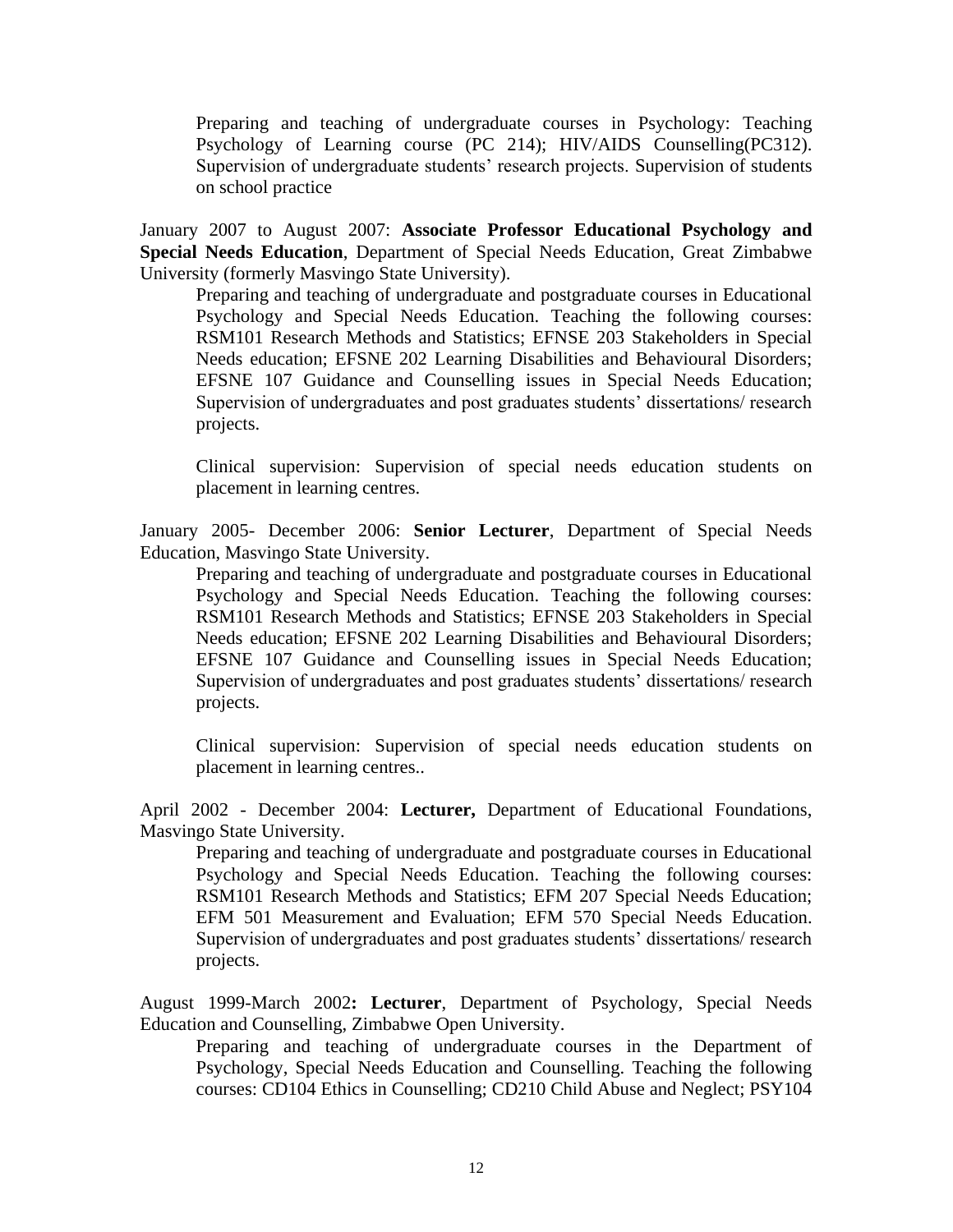Preparing and teaching of undergraduate courses in Psychology: Teaching Psychology of Learning course (PC 214); HIV/AIDS Counselling(PC312). Supervision of undergraduate students' research projects. Supervision of students on school practice

January 2007 to August 2007: **Associate Professor Educational Psychology and Special Needs Education**, Department of Special Needs Education, Great Zimbabwe University (formerly Masvingo State University).

Preparing and teaching of undergraduate and postgraduate courses in Educational Psychology and Special Needs Education. Teaching the following courses: RSM101 Research Methods and Statistics; EFNSE 203 Stakeholders in Special Needs education; EFSNE 202 Learning Disabilities and Behavioural Disorders; EFSNE 107 Guidance and Counselling issues in Special Needs Education; Supervision of undergraduates and post graduates students' dissertations/ research projects.

Clinical supervision: Supervision of special needs education students on placement in learning centres.

January 2005- December 2006: **Senior Lecturer**, Department of Special Needs Education, Masvingo State University.

Preparing and teaching of undergraduate and postgraduate courses in Educational Psychology and Special Needs Education. Teaching the following courses: RSM101 Research Methods and Statistics; EFNSE 203 Stakeholders in Special Needs education; EFSNE 202 Learning Disabilities and Behavioural Disorders; EFSNE 107 Guidance and Counselling issues in Special Needs Education; Supervision of undergraduates and post graduates students' dissertations/ research projects.

Clinical supervision: Supervision of special needs education students on placement in learning centres..

April 2002 - December 2004: **Lecturer,** Department of Educational Foundations, Masvingo State University.

Preparing and teaching of undergraduate and postgraduate courses in Educational Psychology and Special Needs Education. Teaching the following courses: RSM101 Research Methods and Statistics; EFM 207 Special Needs Education; EFM 501 Measurement and Evaluation; EFM 570 Special Needs Education. Supervision of undergraduates and post graduates students' dissertations/ research projects.

August 1999-March 2002**: Lecturer**, Department of Psychology, Special Needs Education and Counselling, Zimbabwe Open University.

Preparing and teaching of undergraduate courses in the Department of Psychology, Special Needs Education and Counselling. Teaching the following courses: CD104 Ethics in Counselling; CD210 Child Abuse and Neglect; PSY104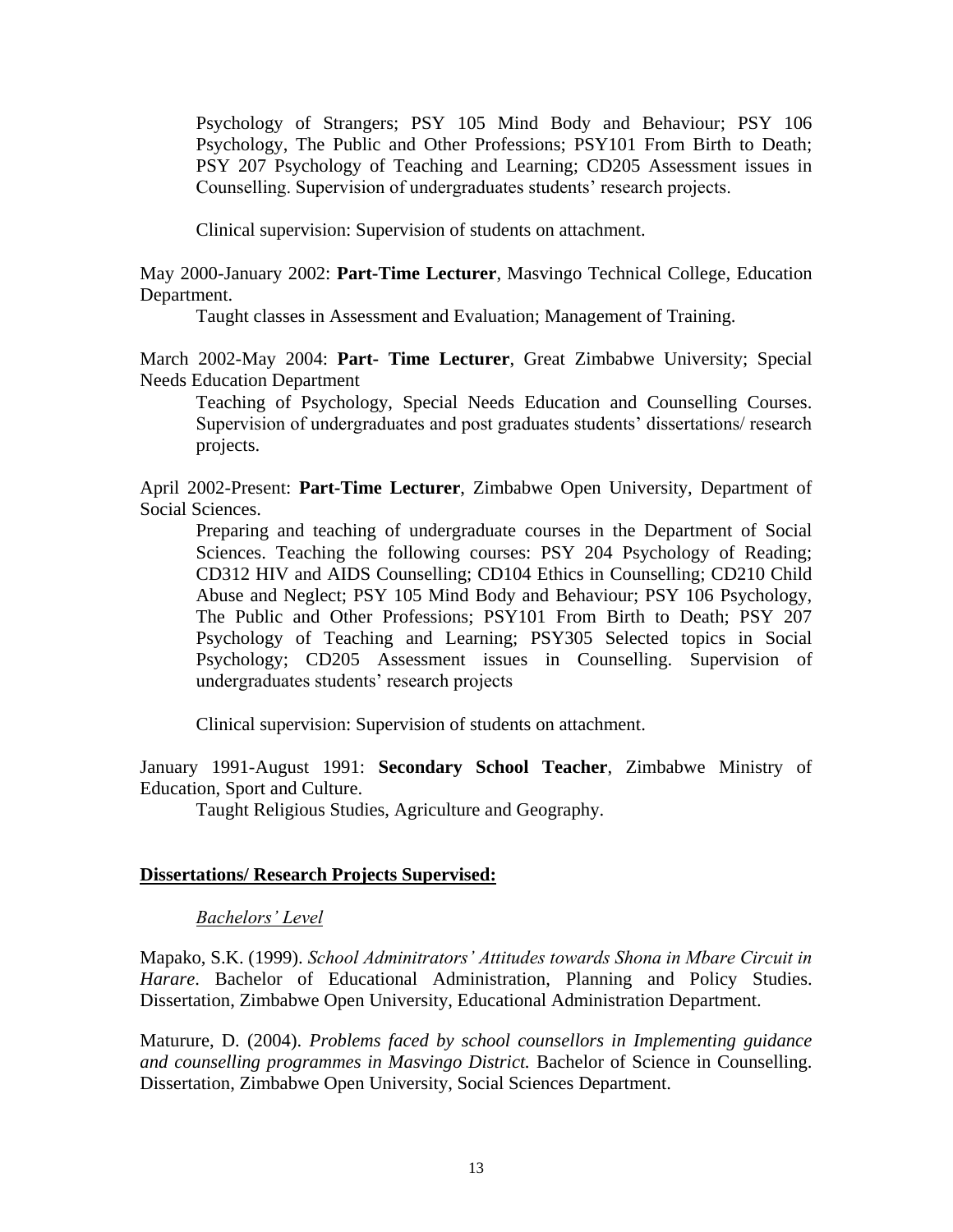Psychology of Strangers; PSY 105 Mind Body and Behaviour; PSY 106 Psychology, The Public and Other Professions; PSY101 From Birth to Death; PSY 207 Psychology of Teaching and Learning; CD205 Assessment issues in Counselling. Supervision of undergraduates students' research projects.

Clinical supervision: Supervision of students on attachment.

May 2000-January 2002: **Part-Time Lecturer**, Masvingo Technical College, Education Department.

Taught classes in Assessment and Evaluation; Management of Training.

March 2002-May 2004: **Part- Time Lecturer**, Great Zimbabwe University; Special Needs Education Department

Teaching of Psychology, Special Needs Education and Counselling Courses. Supervision of undergraduates and post graduates students' dissertations/ research projects.

April 2002-Present: **Part-Time Lecturer**, Zimbabwe Open University, Department of Social Sciences.

Preparing and teaching of undergraduate courses in the Department of Social Sciences. Teaching the following courses: PSY 204 Psychology of Reading; CD312 HIV and AIDS Counselling; CD104 Ethics in Counselling; CD210 Child Abuse and Neglect; PSY 105 Mind Body and Behaviour; PSY 106 Psychology, The Public and Other Professions; PSY101 From Birth to Death; PSY 207 Psychology of Teaching and Learning; PSY305 Selected topics in Social Psychology; CD205 Assessment issues in Counselling. Supervision of undergraduates students' research projects

Clinical supervision: Supervision of students on attachment.

January 1991-August 1991: **Secondary School Teacher**, Zimbabwe Ministry of Education, Sport and Culture.

Taught Religious Studies, Agriculture and Geography.

## **Dissertations/ Research Projects Supervised:**

## *Bachelors' Level*

Mapako, S.K. (1999). *School Adminitrators' Attitudes towards Shona in Mbare Circuit in Harare*. Bachelor of Educational Administration, Planning and Policy Studies. Dissertation, Zimbabwe Open University, Educational Administration Department.

Maturure, D. (2004). *Problems faced by school counsellors in Implementing guidance and counselling programmes in Masvingo District.* Bachelor of Science in Counselling. Dissertation, Zimbabwe Open University, Social Sciences Department.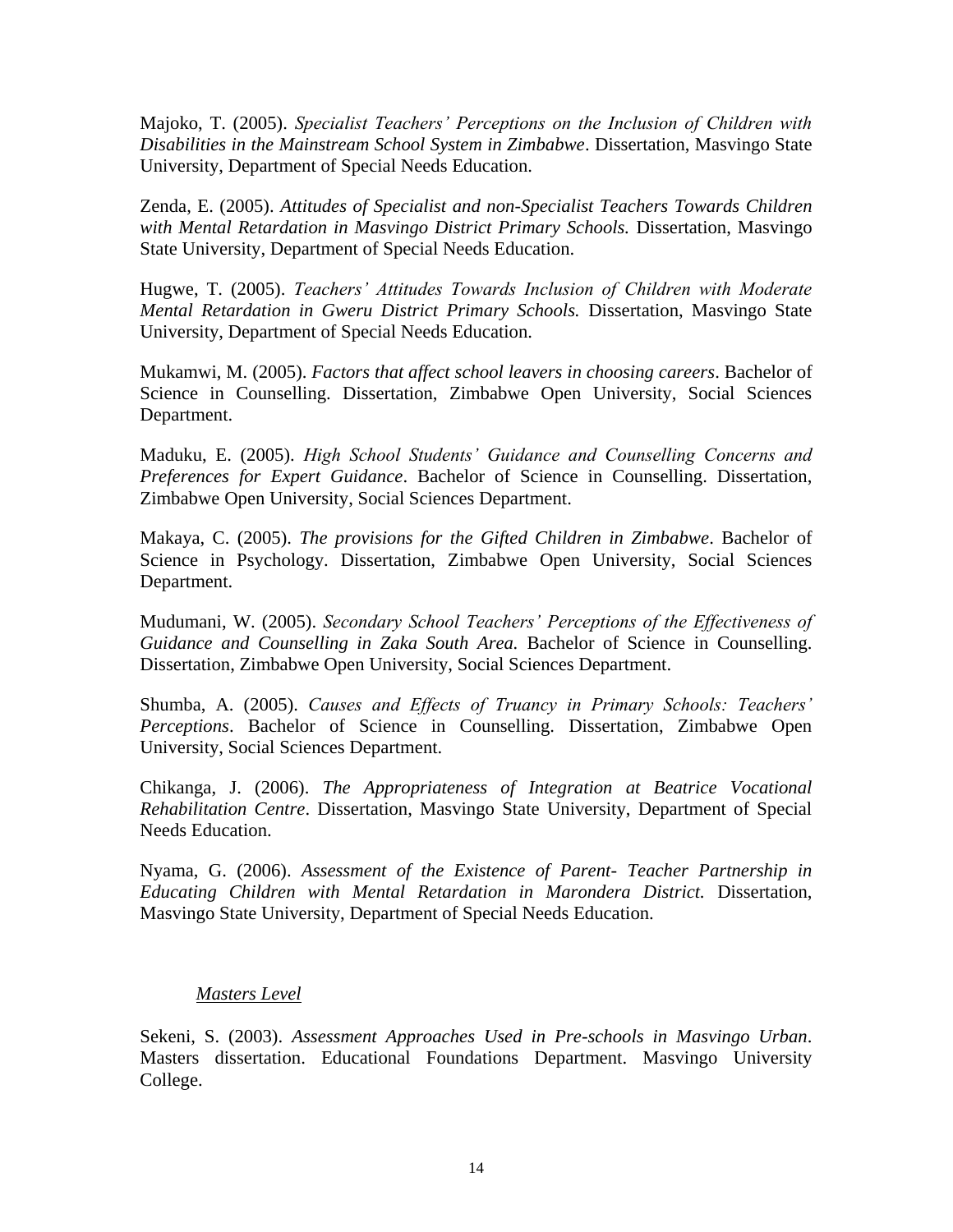Majoko, T. (2005). *Specialist Teachers' Perceptions on the Inclusion of Children with Disabilities in the Mainstream School System in Zimbabwe*. Dissertation, Masvingo State University, Department of Special Needs Education.

Zenda, E. (2005). *Attitudes of Specialist and non-Specialist Teachers Towards Children with Mental Retardation in Masvingo District Primary Schools.* Dissertation, Masvingo State University, Department of Special Needs Education.

Hugwe, T. (2005). *Teachers' Attitudes Towards Inclusion of Children with Moderate Mental Retardation in Gweru District Primary Schools.* Dissertation, Masvingo State University, Department of Special Needs Education.

Mukamwi, M. (2005). *Factors that affect school leavers in choosing careers*. Bachelor of Science in Counselling. Dissertation, Zimbabwe Open University, Social Sciences Department.

Maduku, E. (2005). *High School Students' Guidance and Counselling Concerns and Preferences for Expert Guidance*. Bachelor of Science in Counselling. Dissertation, Zimbabwe Open University, Social Sciences Department.

Makaya, C. (2005). *The provisions for the Gifted Children in Zimbabwe*. Bachelor of Science in Psychology. Dissertation, Zimbabwe Open University, Social Sciences Department.

Mudumani, W. (2005). *Secondary School Teachers' Perceptions of the Effectiveness of Guidance and Counselling in Zaka South Area.* Bachelor of Science in Counselling. Dissertation, Zimbabwe Open University, Social Sciences Department.

Shumba, A. (2005). *Causes and Effects of Truancy in Primary Schools: Teachers' Perceptions*. Bachelor of Science in Counselling. Dissertation, Zimbabwe Open University, Social Sciences Department.

Chikanga, J. (2006). *The Appropriateness of Integration at Beatrice Vocational Rehabilitation Centre*. Dissertation, Masvingo State University, Department of Special Needs Education.

Nyama, G. (2006). *Assessment of the Existence of Parent- Teacher Partnership in Educating Children with Mental Retardation in Marondera District.* Dissertation, Masvingo State University, Department of Special Needs Education.

## *Masters Level*

Sekeni, S. (2003). *Assessment Approaches Used in Pre-schools in Masvingo Urban*. Masters dissertation. Educational Foundations Department. Masvingo University College.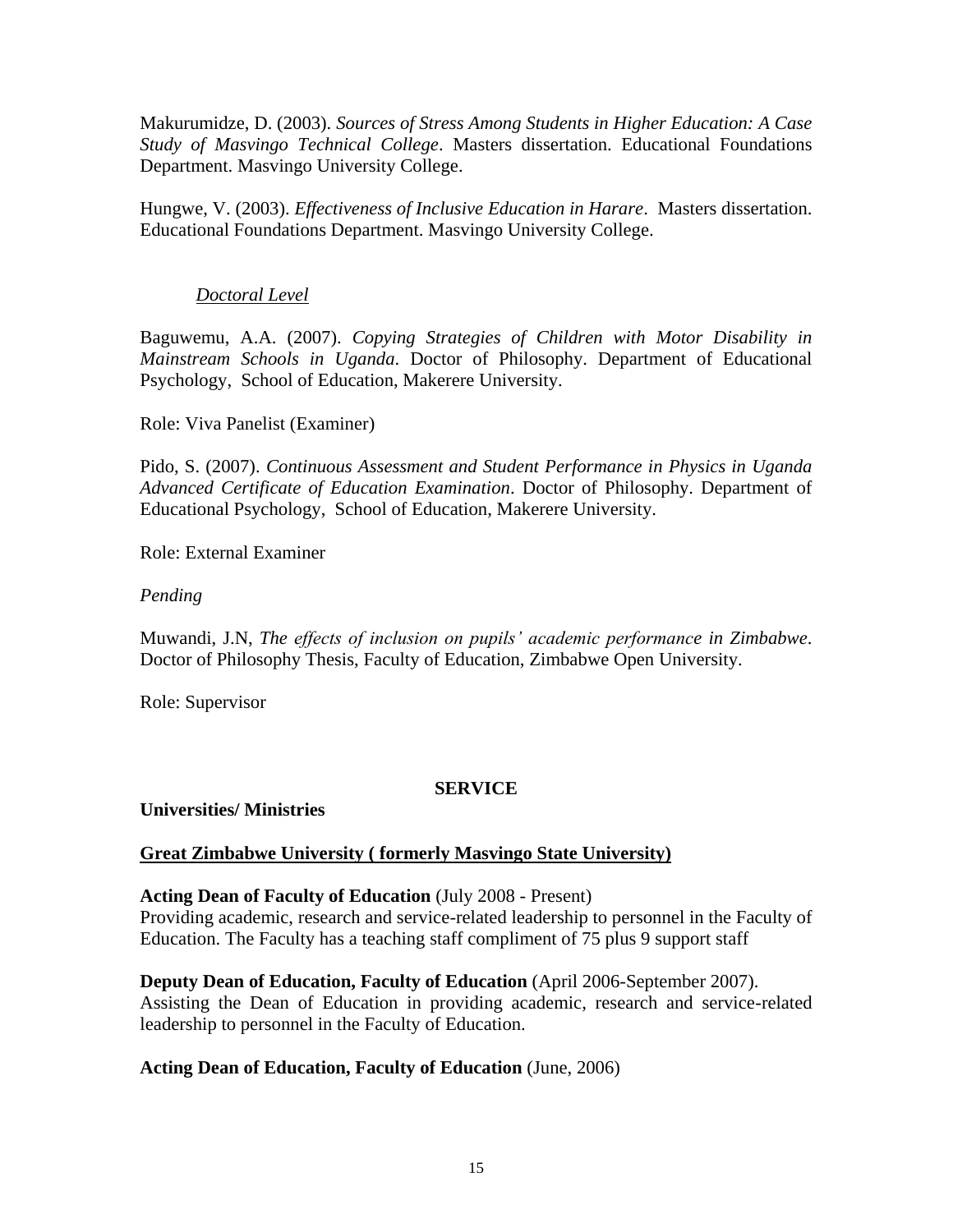Makurumidze, D. (2003). *Sources of Stress Among Students in Higher Education: A Case Study of Masvingo Technical College*. Masters dissertation. Educational Foundations Department. Masvingo University College.

Hungwe, V. (2003). *Effectiveness of Inclusive Education in Harare*. Masters dissertation. Educational Foundations Department. Masvingo University College.

# *Doctoral Level*

Baguwemu, A.A. (2007). *Copying Strategies of Children with Motor Disability in Mainstream Schools in Uganda*. Doctor of Philosophy. Department of Educational Psychology, School of Education, Makerere University.

Role: Viva Panelist (Examiner)

Pido, S. (2007). *Continuous Assessment and Student Performance in Physics in Uganda Advanced Certificate of Education Examination*. Doctor of Philosophy. Department of Educational Psychology, School of Education, Makerere University.

Role: External Examiner

## *Pending*

Muwandi, J.N, *The effects of inclusion on pupils' academic performance in Zimbabwe*. Doctor of Philosophy Thesis, Faculty of Education, Zimbabwe Open University.

Role: Supervisor

## **SERVICE**

## **Universities/ Ministries**

## **Great Zimbabwe University ( formerly Masvingo State University)**

## **Acting Dean of Faculty of Education** (July 2008 - Present)

Providing academic, research and service-related leadership to personnel in the Faculty of Education. The Faculty has a teaching staff compliment of 75 plus 9 support staff

## **Deputy Dean of Education, Faculty of Education** (April 2006-September 2007).

Assisting the Dean of Education in providing academic, research and service-related leadership to personnel in the Faculty of Education.

## **Acting Dean of Education, Faculty of Education** (June, 2006)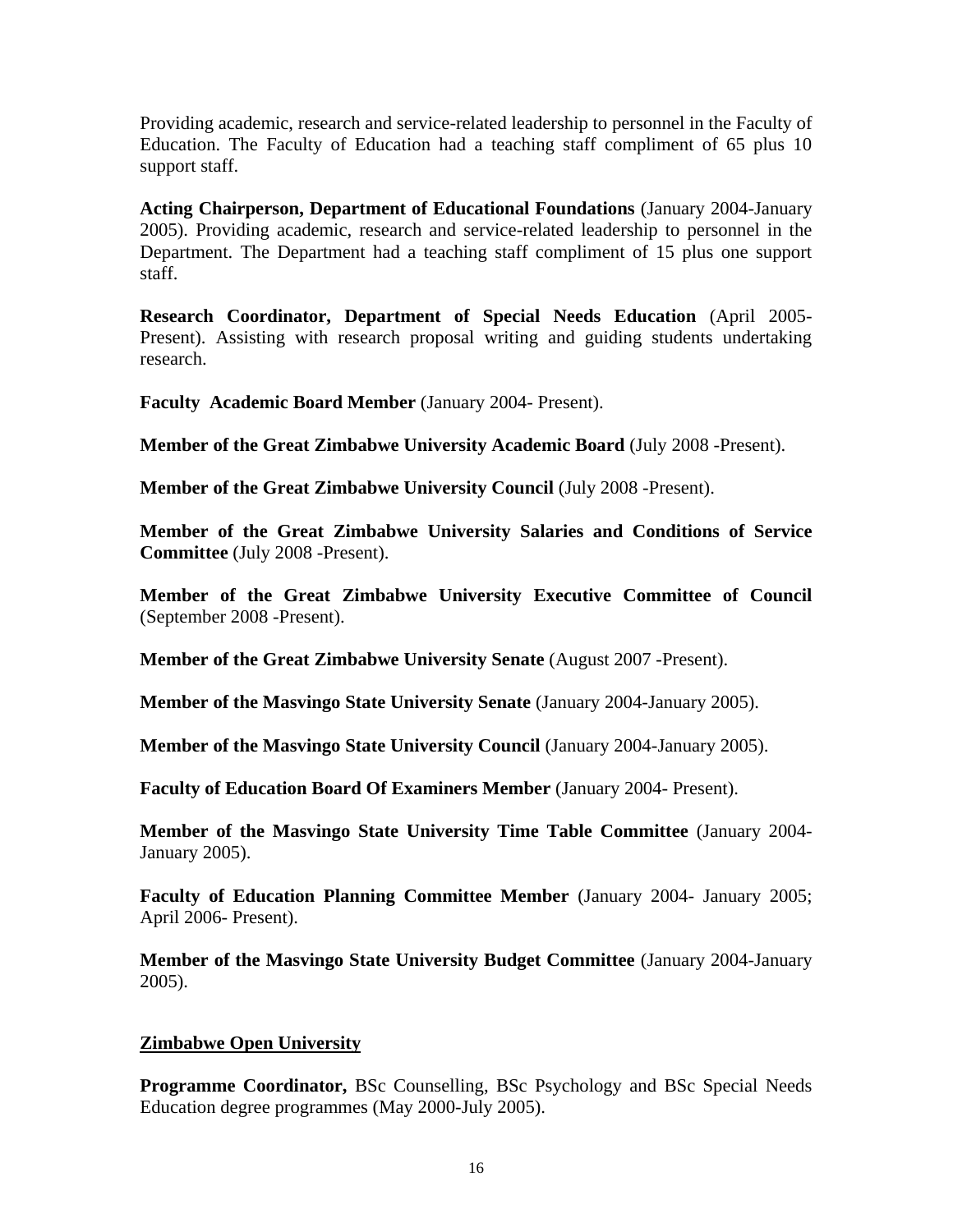Providing academic, research and service-related leadership to personnel in the Faculty of Education. The Faculty of Education had a teaching staff compliment of 65 plus 10 support staff.

**Acting Chairperson, Department of Educational Foundations** (January 2004-January 2005). Providing academic, research and service-related leadership to personnel in the Department. The Department had a teaching staff compliment of 15 plus one support staff.

**Research Coordinator, Department of Special Needs Education** (April 2005- Present). Assisting with research proposal writing and guiding students undertaking research.

**Faculty Academic Board Member** (January 2004- Present).

**Member of the Great Zimbabwe University Academic Board** (July 2008 -Present).

**Member of the Great Zimbabwe University Council** (July 2008 -Present).

**Member of the Great Zimbabwe University Salaries and Conditions of Service Committee** (July 2008 -Present).

**Member of the Great Zimbabwe University Executive Committee of Council** (September 2008 -Present).

**Member of the Great Zimbabwe University Senate** (August 2007 -Present).

**Member of the Masvingo State University Senate** (January 2004-January 2005).

**Member of the Masvingo State University Council** (January 2004-January 2005).

**Faculty of Education Board Of Examiners Member** (January 2004- Present).

**Member of the Masvingo State University Time Table Committee** (January 2004- January 2005).

**Faculty of Education Planning Committee Member** (January 2004- January 2005; April 2006- Present).

**Member of the Masvingo State University Budget Committee** (January 2004-January 2005).

# **Zimbabwe Open University**

**Programme Coordinator,** BSc Counselling, BSc Psychology and BSc Special Needs Education degree programmes (May 2000-July 2005).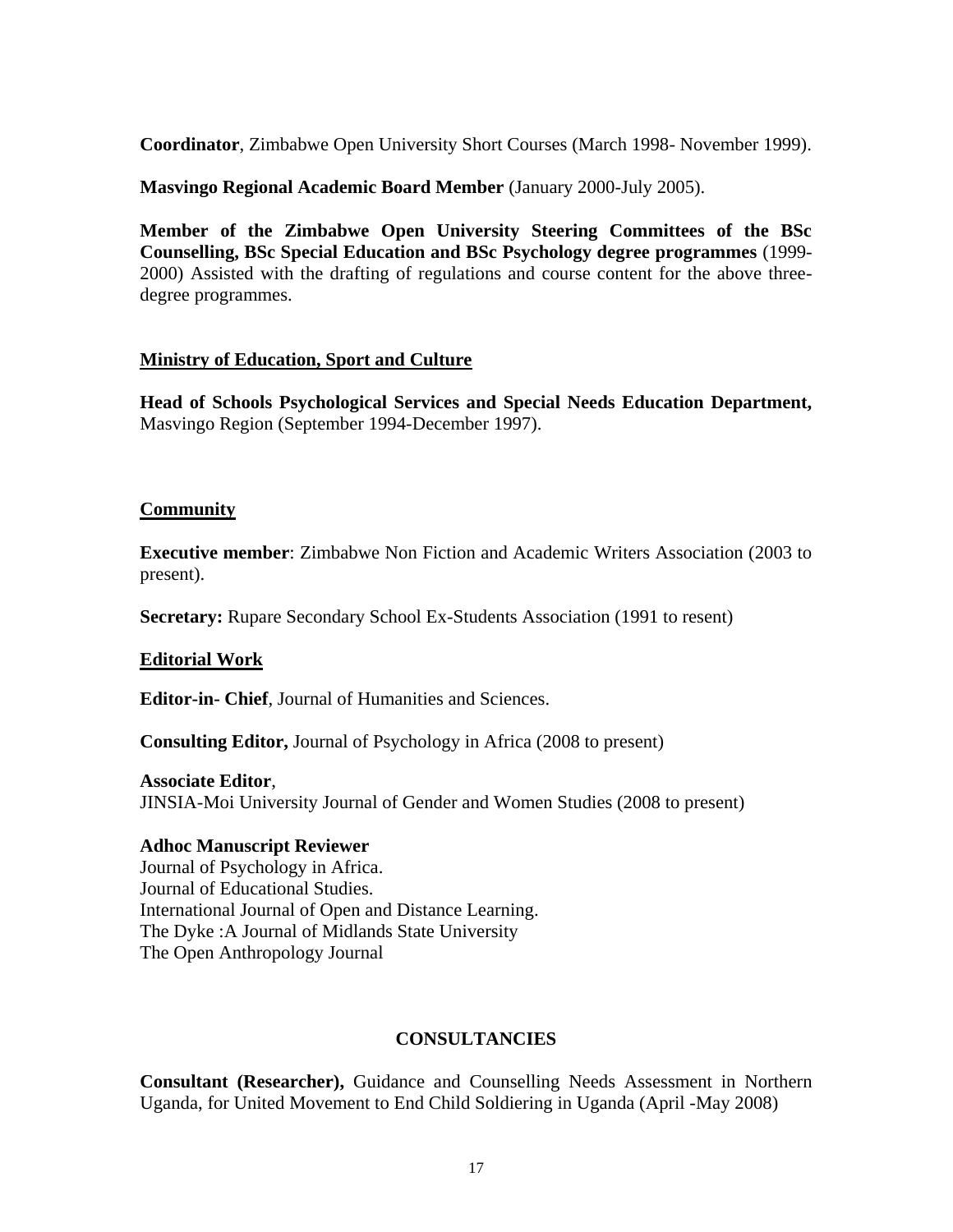**Coordinator**, Zimbabwe Open University Short Courses (March 1998- November 1999).

**Masvingo Regional Academic Board Member** (January 2000-July 2005).

**Member of the Zimbabwe Open University Steering Committees of the BSc Counselling, BSc Special Education and BSc Psychology degree programmes** (1999- 2000) Assisted with the drafting of regulations and course content for the above threedegree programmes.

# **Ministry of Education, Sport and Culture**

**Head of Schools Psychological Services and Special Needs Education Department,** Masvingo Region (September 1994-December 1997).

## **Community**

**Executive member**: Zimbabwe Non Fiction and Academic Writers Association (2003 to present).

**Secretary:** Rupare Secondary School Ex-Students Association (1991 to resent)

## **Editorial Work**

**Editor-in- Chief**, Journal of Humanities and Sciences.

**Consulting Editor,** Journal of Psychology in Africa (2008 to present)

## **Associate Editor**,

JINSIA-Moi University Journal of Gender and Women Studies (2008 to present)

## **Adhoc Manuscript Reviewer**

Journal of Psychology in Africa. Journal of Educational Studies. International Journal of Open and Distance Learning. The Dyke :A Journal of Midlands State University The Open Anthropology Journal

# **CONSULTANCIES**

**Consultant (Researcher),** Guidance and Counselling Needs Assessment in Northern Uganda, for United Movement to End Child Soldiering in Uganda (April -May 2008)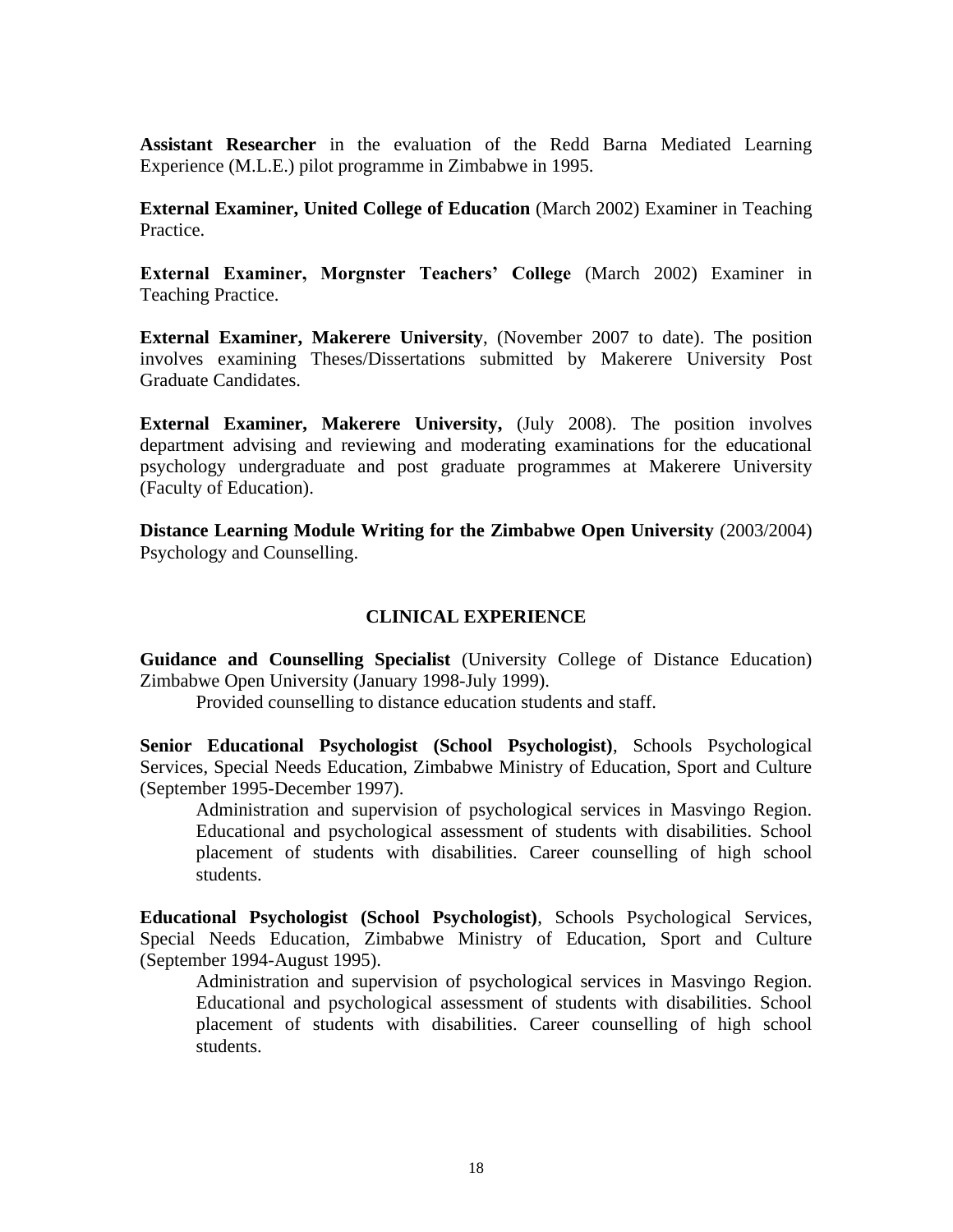**Assistant Researcher** in the evaluation of the Redd Barna Mediated Learning Experience (M.L.E.) pilot programme in Zimbabwe in 1995.

**External Examiner, United College of Education** (March 2002) Examiner in Teaching Practice.

**External Examiner, Morgnster Teachers' College** (March 2002) Examiner in Teaching Practice.

**External Examiner, Makerere University**, (November 2007 to date). The position involves examining Theses/Dissertations submitted by Makerere University Post Graduate Candidates.

**External Examiner, Makerere University,** (July 2008). The position involves department advising and reviewing and moderating examinations for the educational psychology undergraduate and post graduate programmes at Makerere University (Faculty of Education).

**Distance Learning Module Writing for the Zimbabwe Open University** (2003/2004) Psychology and Counselling.

# **CLINICAL EXPERIENCE**

**Guidance and Counselling Specialist** (University College of Distance Education) Zimbabwe Open University (January 1998-July 1999).

Provided counselling to distance education students and staff.

**Senior Educational Psychologist (School Psychologist)**, Schools Psychological Services, Special Needs Education, Zimbabwe Ministry of Education, Sport and Culture (September 1995-December 1997).

Administration and supervision of psychological services in Masvingo Region. Educational and psychological assessment of students with disabilities. School placement of students with disabilities. Career counselling of high school students.

**Educational Psychologist (School Psychologist)**, Schools Psychological Services, Special Needs Education, Zimbabwe Ministry of Education, Sport and Culture (September 1994-August 1995).

Administration and supervision of psychological services in Masvingo Region. Educational and psychological assessment of students with disabilities. School placement of students with disabilities. Career counselling of high school students.